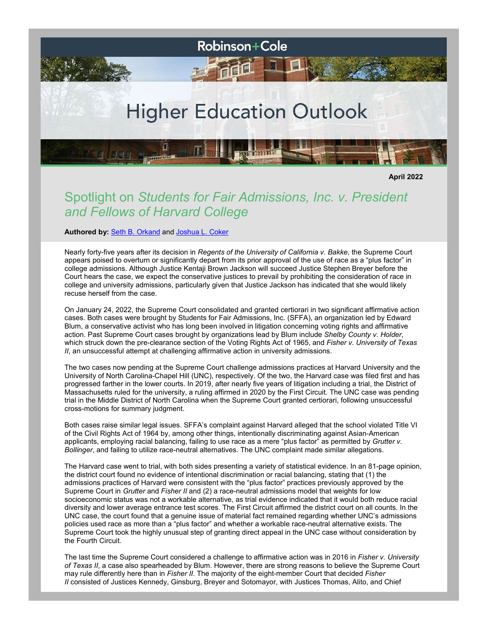

**April 2022**

## Spotlight on *Students for Fair Admissions, Inc. v. President and Fellows of Harvard College*

**Authored by:** [Seth B. Orkand](http://www.rc.com/people/SethOrkand.cfm) and [Joshua L. Coker](http://www.rc.com/people/JoshuaLCoker.cfm)

Nearly forty-five years after its decision in *Regents of the University of California v. Bakke*, the Supreme Court appears poised to overturn or significantly depart from its prior approval of the use of race as a "plus factor" in college admissions. Although Justice Kentaji Brown Jackson will succeed Justice Stephen Breyer before the Court hears the case, we expect the conservative justices to prevail by prohibiting the consideration of race in college and university admissions, particularly given that Justice Jackson has indicated that she would likely recuse herself from the case.

On January 24, 2022, the Supreme Court consolidated and granted certiorari in two significant affirmative action cases. Both cases were brought by Students for Fair Admissions, Inc. (SFFA), an organization led by Edward Blum, a conservative activist who has long been involved in litigation concerning voting rights and affirmative action. Past Supreme Court cases brought by organizations lead by Blum include *Shelby County v. Holder*, which struck down the pre-clearance section of the Voting Rights Act of 1965, and *Fisher v. University of Texas II*, an unsuccessful attempt at challenging affirmative action in university admissions.

The two cases now pending at the Supreme Court challenge admissions practices at Harvard University and the University of North Carolina-Chapel Hill (UNC), respectively. Of the two, the Harvard case was filed first and has progressed farther in the lower courts. In 2019, after nearly five years of litigation including a trial, the District of Massachusetts ruled for the university, a ruling affirmed in 2020 by the First Circuit. The UNC case was pending trial in the Middle District of North Carolina when the Supreme Court granted certiorari, following unsuccessful cross-motions for summary judgment.

Both cases raise similar legal issues. SFFA's complaint against Harvard alleged that the school violated Title VI of the Civil Rights Act of 1964 by, among other things, intentionally discriminating against Asian-American applicants, employing racial balancing, failing to use race as a mere "plus factor" as permitted by *Grutter v. Bollinger*, and failing to utilize race-neutral alternatives. The UNC complaint made similar allegations.

The Harvard case went to trial, with both sides presenting a variety of statistical evidence. In an 81-page opinion, the district court found no evidence of intentional discrimination or racial balancing, stating that (1) the admissions practices of Harvard were consistent with the "plus factor" practices previously approved by the Supreme Court in *Grutter* and *Fisher II* and (2) a race-neutral admissions model that weights for low socioeconomic status was not a workable alternative, as trial evidence indicated that it would both reduce racial diversity and lower average entrance test scores. The First Circuit affirmed the district court on all counts. In the UNC case, the court found that a genuine issue of material fact remained regarding whether UNC's admissions policies used race as more than a "plus factor" and whether a workable race-neutral alternative exists. The Supreme Court took the highly unusual step of granting direct appeal in the UNC case without consideration by the Fourth Circuit.

The last time the Supreme Court considered a challenge to affirmative action was in 2016 in *Fisher v. University of Texas II*, a case also spearheaded by Blum. However, there are strong reasons to believe the Supreme Court may rule differently here than in *Fisher II*. The majority of the eight-member Court that decided *Fisher II* consisted of Justices Kennedy, Ginsburg, Breyer and Sotomayor, with Justices Thomas, Alito, and Chief